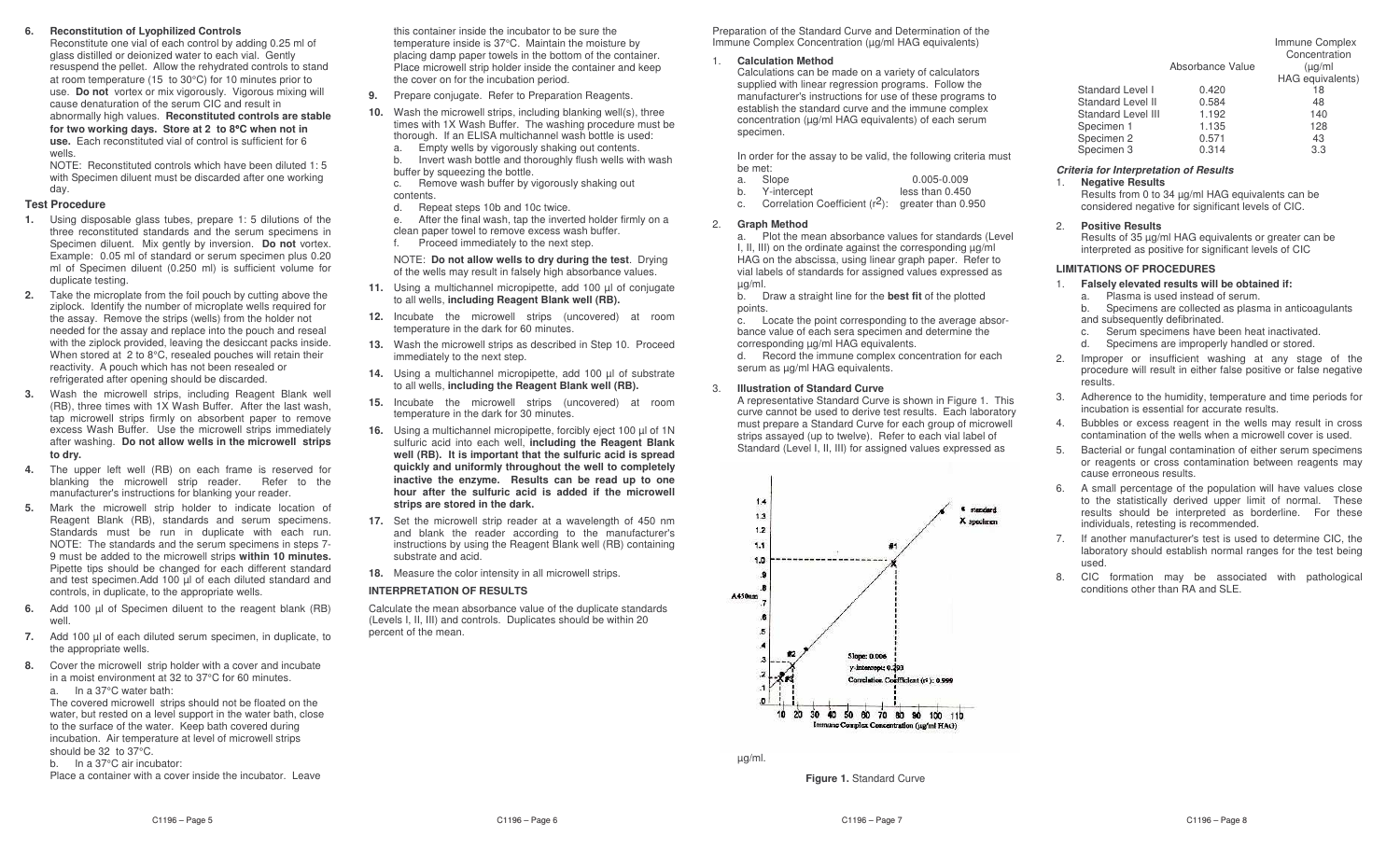#### **6.Reconstitution of Lyophilized Controls**

Reconstitute one vial of each control by adding 0.25 ml of glass distilled or deionized water to each vial. Gently resuspend the pellet. Allow the rehydrated controls to stand at room temperature (15 to 30°C) for 10 minutes prior to use. **Do not** vortex or mix vigorously. Vigorous mixing will cause denaturation of the serum CIC and result in abnormally high values. **Reconstituted controls are stable for two working days. Store at 2 to 8**°**C when not in use.** Each reconstituted vial of control is sufficient for 6 wells.

 NOTE: Reconstituted controls which have been diluted 1: 5 with Specimen diluent must be discarded after one working day.

### **Test Procedure**

- **1.** Using disposable glass tubes, prepare 1: 5 dilutions of the three reconstituted standards and the serum specimens in Specimen diluent. Mix gently by inversion. **Do not** vortex. Example: 0.05 ml of standard or serum specimen plus 0.20 ml of Specimen diluent (0.250 ml) is sufficient volume for duplicate testing.
- **2.** Take the microplate from the foil pouch by cutting above the ziplock. Identify the number of microplate wells required for the assay. Remove the strips (wells) from the holder not needed for the assay and replace into the pouch and reseal with the ziplock provided, leaving the desiccant packs inside. When stored at 2 to 8°C, resealed pouches will retain their reactivity. A pouch which has not been resealed or refrigerated after opening should be discarded.
- **3.** Wash the microwell strips, including Reagent Blank well (RB), three times with 1X Wash Buffer. After the last wash, tap microwell strips firmly on absorbent paper to remove excess Wash Buffer. Use the microwell strips im mediately after washing. **Do not allow wells in the microwell strips to dry.**
- **4.** The upper left well (RB) on each frame is reserved for blanking the microwell strip reader. Refer to the manufacturer's instructions for blanking your reader.
- **5.** Mark the microwell strip holder to indicate location of Reagent Blank (RB), standards and serum specimens. Standards must be run in duplicate with each run. NOTE: The standards and the serum specimens in steps 7- 9 must be added to the microwell strips **within 10 minutes.** Pipette tips should be changed for each different standard and test specimen.Add 100 µl of each diluted standard and controls, in duplicate, to the appropriate wells.
- **6.** Add 100 µl of Specimen diluent to the reagent blank (RB) well.
- **7.** Add 100 µl of each diluted serum specimen, in duplicate, to the appropriate wells.
- **8.** Cover the microwell strip holder with <sup>a</sup> cover and incubate in <sup>a</sup> moist environment at 32 to 37°C for 60 minutes.

a. In a 37°C water bath: The covered microwell strips should not be floated on the water, but rested on <sup>a</sup> level support in the water bath, close to the surface of the water. Keep bath covered during incubation. Air temperature at level of microwell strips should be 32 to 37°C.

b. In <sup>a</sup> 37°C air incubator:

Place <sup>a</sup> container with <sup>a</sup> cover inside the incubator. Leave

this container inside the incubator to be sure the temperature inside is 37°C. Maintain the moisture by placing damp paper towels in the bottom of the container. Place microwell strip holder inside the container and keep the cover on for the incubation period.

**9.** Prepare conjugate. Refer to Preparation Reagents.

- **10.** Wash the microwell strips, including blanking well(s), three times with 1X Wash Buffer. The washing procedure must be thorough. If an ELISA multichannel wash bottle is used:
	- a. Empty wells by vigorously shaking out contents. b.. Invert wash bottle and thoroughly flush wells with wash
- buffer by squeezing the bottle. c.. Remove wash buffer by vigorously shaking out contents.
- d.Repeat steps 10b and 10c twice.
- e. After the final wash, tap the inverted holder firmly on <sup>a</sup> clean paper towel to remove excess wash buffer.
- f.Proceed immediately to the next step.

NOTE: **Do not allowwells to dry during the test**. Drying of the wells may result in falsely high absorbance values.

- **11.** Using <sup>a</sup> multichannel micropipette, add 100 µl of conjugate to all wells, **including Reagent Blank well (RB).**
- **12.** Incubate the microwell strips (uncovered) at room temperature in the dark for 60 minutes.
- **13.** Wash the microwell strips as described in Step 10. Proceed immediately to the next step.
- **14.** Using <sup>a</sup> multichannel micropipette, add 100 µl of substrate to all wells, **including the Reagent Blank well (RB).**
- **15.** Incubate the microwell strips (uncovered) at room temperature in the dark for 30 minutes.
- **16.** Using <sup>a</sup> multichannel micropipette, forcibly eject 100 µl of 1N sulfuric acid into each well, **including the Reagent Blank well (RB). It is important that the sulfuric acid is spread quickly and uniformly throughout the well to completely inactive the enzyme. Results can be read up to one hour after the sulfuric acid is added if the microwell strips are stored in the dark.**
- **17.** Set the microwell strip reader at <sup>a</sup> wavelength of 450 nm and blank the reader according to the manufacturer's instructions by using the Reagent Blank well (RB) containing substrate and acid.
- **18.** Measure the color intensity in all microwell strips.

### **INTERPRETATION OF RESULTS**

Calculate the mean absorbance value of the duplicate standards (Levels I, II, III) and controls. Duplicates should be within 20 percent of the mean.

Preparation of the Standard Curve and Determination of the Im mune Complex Concentration (µg/ml HA G equivalents)

1. **Calculation Method**

Calculations can be made on <sup>a</sup> variety of calculators supplied with linear regression programs. Follow the manufacturer's instructions for use of these programs to establish the standard curve and the immune complex concentration (µg/ml HA G equivalents) of each serum specimen.

In order for the assay to be valid, the following criteria must be met:

| a. | Slope |  | $0.005 - 0.009$ |  |  |
|----|-------|--|-----------------|--|--|
|    |       |  |                 |  |  |

- b.Y-intercept less than 0.450
- c.Correlation Coefficient  $(r^2)$ : greater than 0.950
- 2.**Graph Method**

a. Plot the mean absorbance values for standards (Level I, II, III) on the ordinate against the corresponding µg/ml HAG on the abscissa, using linear graph paper. Refer to vial labels of standards for assigned values expressed as µg/ml.

b. Draw <sup>a</sup> straight line for the **best fit** of the plotted points.

c. Locate the point corresponding to the average absorbance value of each sera specimen and determine the corresponding µg/ml HA G equivalents.

d. Record the immune complex concentration for each serum as µg/ml HA G equivalents.

#### 3.**Illustration of Standard Curve**

A representative Standard Curve is shown in Figure 1. This curve cannot be used to derive test results. Each laboratory must prepare <sup>a</sup> Standard Curve for each group of microwell strips assayed (up to twelve). Refer to each vial label of Standard (Level I, II, III) for assigned values expressed as



µg/ml.

**Figure 1.** Standard Curve

|                    | Absorbance Value | Concentration<br>$\mu$ g/ml |
|--------------------|------------------|-----------------------------|
|                    |                  | HAG equivalents)            |
| Standard Level I   | 0.420            | 18                          |
| Standard Level II  | 0.584            | 48                          |
| Standard Level III | 1.192            | 140                         |
| Specimen 1         | 1.135            | 128                         |
| Specimen 2         | 0.571            | 43                          |
| Specimen 3         | 0.314            | 3.3                         |

### *Criteria for Interpretation of Results*

1. **Negative Results**

Results from 0 to 34 µg/ml HA G equivalents can be considered negative for significant levels of CIC.

#### 2.**Positive Results**

Results of 35 µg/ml HA G equivalents or greater can be interpreted as positive for significant levels of CIC

### **LIMITATIONSOF PROCEDURES**

- 1. **Falsely elevated results will be obtained if:**
	- a. Plasma is used instead of serum.
	- b. Specimens are collected as plasma in anticoagulants and subsequently defibrinated.
	- c.Serum specimens have been heat inactivated.
	- d.Specimens are improperly handled or stored.
- 2. Improper or insufficient washing at any stage of the procedure will result in either false positive or false negative results.
- 3. Adherence to the humidity, temperature and time periods for incubation is essential for accurate results.
- 4. Bubbles or excess reagent in the wells may result in cross contamination of the wells when <sup>a</sup> microwell cover is used.
- 5. Bacterial or fungal contamination of either serum specimens or reagents or cross contamination between reagents may cause erroneous results.
- 6. A small percentage of the population will have values close to the statistically derived upper limit of normal. These results should be interpreted as borderline. For these individuals, retesting is recom mended.
- 7. If another manufacturer's test is used to determine CIC, the laboratory should establish normal ranges for the test being used.
- 8. CIC formation may be associated with pathological conditions other than RA and SLE.

| Immune Complex |               |
|----------------|---------------|
|                | Concontration |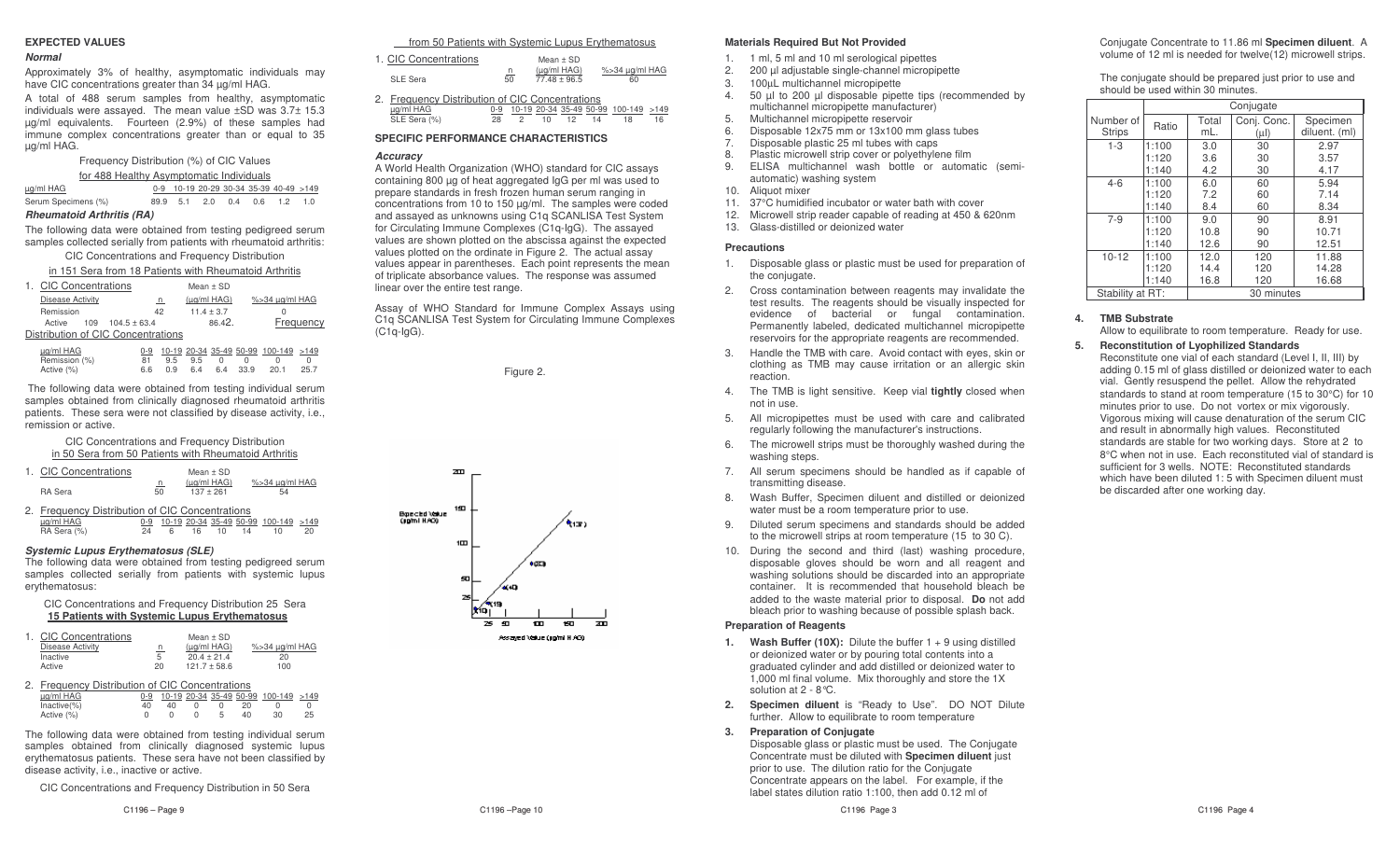### **EXPECTEDVALUES**

### *Normal*

Approximately 3% of healthy, asymptomatic individuals may have CIC concentrations greater than 34 µg/ml HA G.

A total of 488 serum samples from healthy, asymptomatic individuals were assayed. The mean value ±SD was 3.7± 15.3 µg/ml equivalents. Fourteen (2.9%) of these samples had immune complex concentrations greater than or equal to 35 µg/ml HA G.

Frequency Distribution (%) of CIC Values

| for 488 Healthy Asymptomatic Individuals |  |                          |  |  |  |                                        |     |  |
|------------------------------------------|--|--------------------------|--|--|--|----------------------------------------|-----|--|
| ug/ml HAG                                |  |                          |  |  |  | 0-9 10-19 20-29 30-34 35-39 40-49 >149 |     |  |
| Serum Specimens (%)                      |  | 89.9 5.1 2.0 0.4 0.6 1.2 |  |  |  |                                        | 1 O |  |

### *RheumatoidArthritis (RA)*

The following data were obtained from testing pedigreed serum samples collected serially from patients with rheumatoid arthritis:

CIC Concentrations and Frequency Distribution

in 151 Sera from 18 Patients with Rheumatoid Arthritis

| 1. CIC Concentrations              |    | Mean $\pm$ SD    |                |
|------------------------------------|----|------------------|----------------|
| <b>Disease Activity</b>            | n  | $(\mu q/mI HAG)$ | %>34 µg/ml HAG |
| Remission                          | 42 | $11.4 + 3.7$     |                |
| $109$ $104.5 + 63.4$<br>Active     |    | 86.42.           | Frequency      |
| Distribution of CIC Concentrations |    |                  |                |

| μg/ml HAG     |                |  | 0-9 10-19 20-34 35-49 50-99 100-149 >149 |  |
|---------------|----------------|--|------------------------------------------|--|
| Remission (%) | 81 9.5 9.5 0 0 |  | $\bigcap$                                |  |
| Active (%)    |                |  | 6.6 0.9 6.4 6.4 33.9 20.1 25.7           |  |

The following data were obtained from testing individual serum samples obtained from clinically diagnosed rheumatoid arthritis patients. These sera were not classified by disease activity, i.e., remission or active.

| CIC Concentrations and Frequency Distribution         |
|-------------------------------------------------------|
| in 50 Sera from 50 Patients with Rheumatoid Arthritis |

|                | 1. CIC Concentrations |         | Mean + SD                  |                      |
|----------------|-----------------------|---------|----------------------------|----------------------|
| <b>RA</b> Sera |                       | n<br>50 | (ua/ml HAG)<br>$137 + 261$ | %>34 ug/ml HAG<br>54 |

|             | 2. Frequency Distribution of CIC Concentrations |       |  |          |                                          |    |
|-------------|-------------------------------------------------|-------|--|----------|------------------------------------------|----|
| ua/ml HAG   |                                                 |       |  |          | 0-9 10-19 20-34 35-49 50-99 100-149 >149 |    |
| RA Sera (%) |                                                 | - 6 - |  | 16 10 14 | 10                                       | 20 |

### *Systemic Lupus Erythematosus (SLE)*

The following data were obtained from testing pedigreed serum samples collected serially from patients with systemic lupus erythematosus:

### CIC Concentrations and Frequency Distribution 25 Sera **15 Patients with Systemic Lupus Erythematosus**

| 1. CIC Concentrations |           | Mean + SD        |                |
|-----------------------|-----------|------------------|----------------|
| Disease Activity      | <u>_n</u> | $(\mu q/mI HAG)$ | %>34 ug/ml HAG |
| Inactive              | 5         | $20.4 + 21.4$    | 20             |
| Active                | 20        | $121.7 + 58.6$   | 100            |

| 2. Frequency Distribution of CIC Concentrations |    |    |  |    |    |                                          |    |
|-------------------------------------------------|----|----|--|----|----|------------------------------------------|----|
| ua/ml HAG                                       |    |    |  |    |    | 0-9 10-19 20-34 35-49 50-99 100-149 >149 |    |
| $Inactive(\%)$                                  | 40 | 40 |  |    |    |                                          |    |
| Active (%)                                      |    |    |  | b. | 40 | 30                                       | 25 |

The following data were obtained from testing individual serum samples obtained from clinically diagnosed systemic lupus erythematosus patients. These sera have not been classified by disease activity, i.e., inactive or active.

CIC Concentrations and Frequency Distribution in 50 Sera

C1196 - Page 9

from 50 Patients with Systemic Lupus Erythematosus

| 1. CIC Concentrations                           |         | Mean $\pm$ SD                      |                      |
|-------------------------------------------------|---------|------------------------------------|----------------------|
| <b>SLE Sera</b>                                 | n<br>50 | $(\mu q/ml HAG)$<br>$77.48 + 96.5$ | %>34 µg/ml HAG<br>60 |
| 2. Frequency Distribution of CIC Concentrations |         |                                    |                      |
| ug/ml HAG                                       |         | 10-19 20-34 35-49 50-99 100-149    | >149                 |
| SLE Sera (%)                                    | 28      |                                    | 16<br>18             |

## **SPECIFIC PERFORMANCE CHARACTERISTICS**

### *Accuracy*

AWorld Health Organization (WHO) standard for CIC assays containing 800 µg of heat aggregated IgG per ml was used to prepare standards in fresh frozen human serum ranging in concentrations from 10 to 150 µg/ml. The samples were coded and assayed as unknowns using C1q SC ANLISA Test System for Circulating Im mune Complexes (C1q-IgG). The assayed values are shown plotted on the abscissa against the expected values plotted on the ordinate in Figure 2. The actual assay values appear in parentheses. Each point represents the mean of triplicate absorbance values. The response was assumed linear over the entire test range.

Assay of WHO Standard for Im mune Complex Assays using C1q SC ANLISA Test System for Circulating Im mune Complexes (C1q-IgG).

Figure 2.



- 1.1 ml, 5 ml and 10 ml serological pipettes
- 2.200 µl adjustable single-channel micropipette
- 3.100µL multichannel micropipette
- 4. 50 µl to 200 µl disposable pipette tips (recom mended by multichannel micropipette manufacturer)
- 5.Multichannel micropipette reservoir
- 6.Disposable 12x75 <sup>m</sup> m or 13x100 <sup>m</sup> m glass tubes
- 7.Disposable plastic 25 ml tubes with caps
- 8.Plastic microwell strip cover or polyethylene film
- 9. ELISAmultichannel wash bottle or automatic (semiautomatic) washing system
- 10. Aliquot mixer
- 11.37°C humidified incubator or water bath with cover
- 12.Microwell strip reader capable of reading at 450 & 620nm
- 13. Glass-distilled or deionized water

### **Precautions**

- 1. Disposable glass or plastic must be used for preparation of the conjugate.
- 2. Cross contamination between reagents may invalidate the test results. The reagents should be visually inspected for evidence of bacterial or fungal contamination. Permanently labeled, dedicated multichannel micropipette reservoirs for the appropriate reagents are recom mended.
- 3. Handle the TMB with care. Avoid contact with eyes, skin or clothing as TMB may cause irritation or an allergic skin reaction.
- 4. The TMB is light sensitive. Keep vial **tightly** closed when not in use.
- 5. All micropipettes must be used with care and calibrated regularly following the manufacturer's instructions.
- 6. The microwell strips must be thoroughly washed during the washing steps.
- 7. All serum specimens should be handled as if capable of transmitting disease.
- 8. Wash Buffer, Specimen diluent and distilled or deionized water must be a room temperature prior to use.
- $\alpha$  Diluted serum specimens and standards should be added to the microwell strips at room temperature (15 to 30 C).
- 10. During the second and third (last) washing procedure, disposable gloves should be worn and all reagent and washing solutions should be discarded into an appropriate container. It is recommended that household bleach be added to the waste material prior to disposal. **Do** not add bleach prior to washing because of possible splash back.

### **Preparation of Reagents**

- **1. Wash Buffer (10X):** Dilute the buffer 1 <sup>+</sup> 9 using distilled or deionized water or by pouring total contents into <sup>a</sup> graduated cylinder and add distilled or deionized water to 1,000 ml final volume. Mix thoroughly and store the 1X solution at 2 - 8°C.
- **2. Specimen diluent** is "Ready to Use". DO NOT Dilute further. Allow to equilibrate to room temperature

#### **3.Preparation of Conjugate**

Disposable glass or plastic must be used. The Conjugate Concentrate must be diluted with **Specimen diluent** just prior to use. The dilution ratio for the Conjugate Concentrate appears on the label. For example, if the label states dilution ratio 1:100, then add 0.12 ml of

Conjugate Concentrate to 11.86 ml **Specimen diluent**. A volume of 12 ml is needed for twelve(12) microwell strips.

The conjugate should be prepared just prior to use and should be used within 30 minutes.

|                  | Conjugate |            |             |               |
|------------------|-----------|------------|-------------|---------------|
| Number of        | Ratio     | Total      | Conj. Conc. | Specimen      |
| <b>Strips</b>    |           | mL.        | $(\mu I)$   | diluent. (ml) |
| $1 - 3$          | 1:100     | 3.0        | 30          | 2.97          |
|                  | 1:120     | 3.6        | 30          | 3.57          |
|                  | 1:140     | 4.2        | 30          | 4.17          |
| $4 - 6$          | 1:100     | 6.0        | 60          | 5.94          |
|                  | 1:120     | 7.2        | 60          | 7.14          |
|                  | 1:140     | 8.4        | 60          | 8.34          |
| $7 - 9$          | 1:100     | 9.0        | 90          | 8.91          |
|                  | 1:120     | 10.8       | 90          | 10.71         |
|                  | 1:140     | 12.6       | 90          | 12.51         |
| $10 - 12$        | 1:100     | 12.0       | 120         | 11.88         |
|                  | 1:120     | 14.4       | 120         | 14.28         |
|                  | 1:140     | 16.8       | 120         | 16.68         |
| Stability at RT: |           | 30 minutes |             |               |

#### **4.TMB Substrate**

Allow to equilibrate to room temperature. Ready for use.

#### **5.Reconstitution of Lyophilized Standards**

Reconstitute one vial of each standard (Level I, II, III) by adding 0.15 ml of glass distilled or deionized water to each vial. Gently resuspend the pellet. Allow the rehydrated standards to stand at room temperature (15 to 30°C) for 10 minutes prior to use. Do not vortex or mix vigorously. Vigorous mixing will cause denaturation of the serum CICand result in abnormally high values. Reconstituted standards are stable for two working days. Store at 2 to 8°C when not in use. Each reconstituted vial of standard is sufficient for 3 wells. NOTE: Reconstituted standards which have been diluted 1: 5 with Specimen diluent must be discarded after one working day.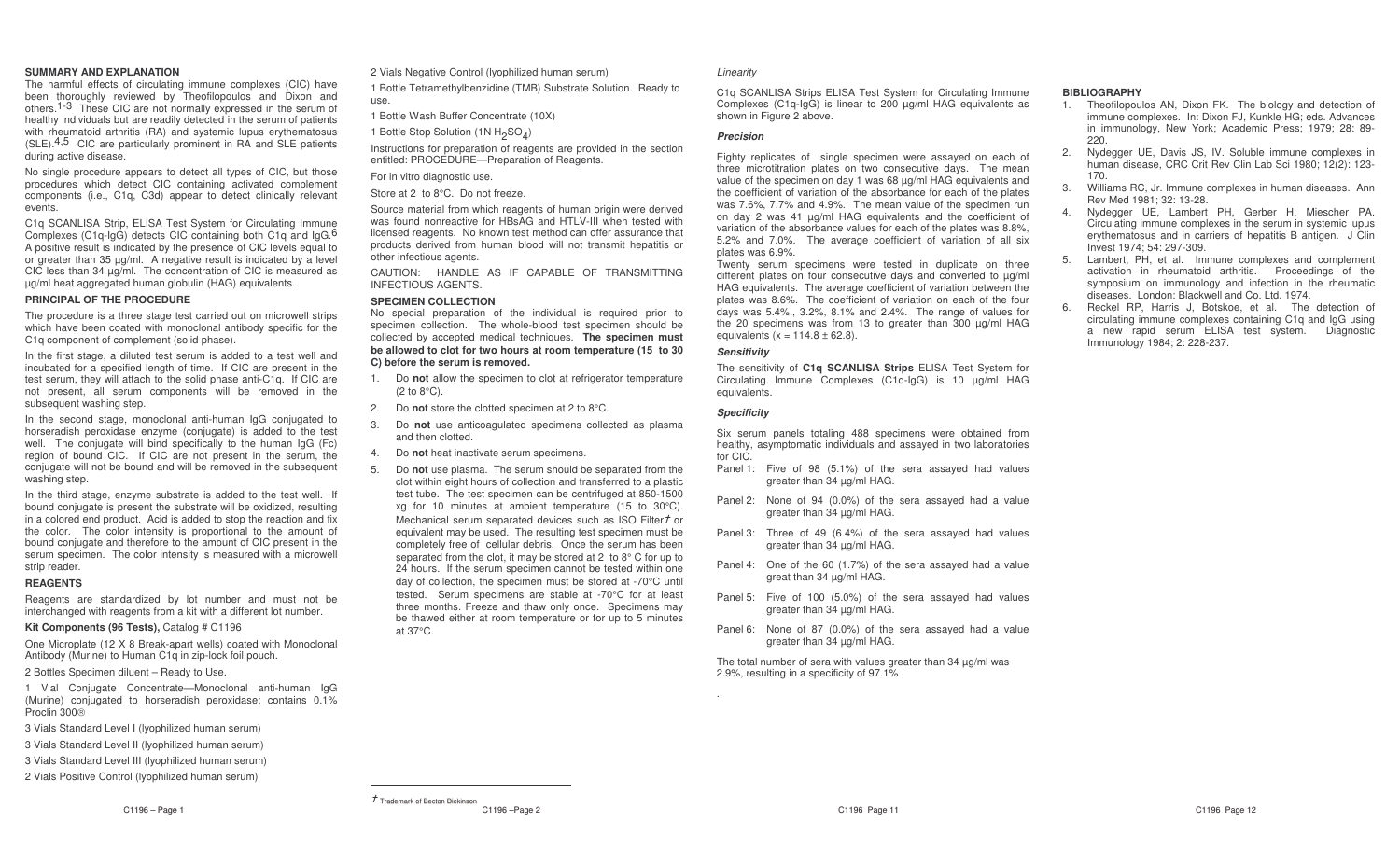### **SUMMARYAND EXPLANATION**

 The harmful effects of circulating im mune complexes (CIC) have been thoroughly reviewed by Theofilopoulos and Dixon and others.<sup>1-3</sup> These CIC are not normally expressed in the serum of healthy individuals but are readily detected in the serum of patients with rheumatoid arthritis (RA) and systemic lupus erythematosus  $(SLE)$ .<sup>4,5</sup> CIC are particularly prominent in RA and SLE patients during active disease.

No single procedure appears to detect all types of CIC, but those procedures which detect CIC containing activated complement components (i.e., C1q, C3d) appear to detect clinically relevant events.

C1q SC ANLISA Strip, ELISA Test System for Circulating Im mune Complexes (C1q-IgG) detects CIC containing both C1q and IgG.<sup>6</sup> A positive result is indicated by the presence of CIC levels equal to or greater than 35 µg/ml. A negative result is indicated by <sup>a</sup> level CIC less than 34 µg/ml. The concentration of CIC is measured as µg/ml heat aggregated human globulin (HA G) equivalents.

### **PRINCIPAL OF THE PROCEDURE**

The procedure is <sup>a</sup> three stage test carried out on microwell strips which have been coated with monoclonal antibody specific for the C1q component of complement (solid phase).

In the first stage, <sup>a</sup> diluted test serum is added to <sup>a</sup> test well and incubated for <sup>a</sup> specified length of time. If CIC are present in the test serum, they will attach to the solid phase anti-C1q. If CIC are not present, all serum components will be removed in the subsequent washing step.

In the second stage, monoclonal anti-human IgG conjugated to horseradish peroxidase enzyme (conjugate) is added to the test well. The conjugate will bind specifically to the human IgG (Fc) region of bound CIC. If CIC are not present in the serum, the conjugate will not be bound and will be removed in the subsequent washing step.

In the third stage, enzyme substrate is added to the test well. If bound conjugate is present the substrate will be oxidized, resulting in <sup>a</sup> colored end product. Acid is added to stop the reaction and fix the color. The color intensity is proportional to the amount of bound conjugate and therefore to the amount of CIC present in the serum specimen. The color intensity is measured with <sup>a</sup> microwell strip reader.

### **REAGENTS**

Reagents are standardized by lot number and must not be interchanged with reagents from <sup>a</sup> kit with <sup>a</sup> different lot number.

**Kit Components (96 Tests),** Catalog # C1196

One Microplate (12 X 8 Break-apart wells) coated with Monoclonal Antibody (Murine) to Human C1q in zip-lock foil pouch.

### 2 Bottles Specimen diluent – Ready to Use.

1 Vial Conjugate Concentrate— Monoclonal anti-human IgG (Murine) conjugated to horseradish peroxidase; contains 0.1% Proclin 300

- 3 Vials Standard Level I (lyophilized human serum)
- 3 Vials Standard Level II (lyophilized human serum)
- 3 Vials Standard Level III (lyophilized human serum)
- 2 Vials Positive Control (lyophilized human serum)

2 Vials Negative Control (lyophilized human serum)

1 Bottle Tetramethylbenzidine (TMB) Substrate Solution. Ready to use.

1 Bottle Wash Buffer Concentrate (10X)

1 Bottle Stop Solution (1N  $H_2$ SO $_4$ )

Instructions for preparation of reagents are provided in the section entitled: PRO CEDURE—Preparation of Reagents.

For in vitro diagnostic use.

Store at 2 to 8°C. Do not freeze.

Source material from which reagents of human origin were derived was found nonreactive for HBsAG and HTLV-III when tested with licensed reagents. No known test method can offer assurance that products derived from human blood will not transmit hepatitis or other infectious agents.

CAUTION: HANDLE AS IF CAPABLE OF TRANSMITTINGINFECTIOUS A GENTS.

### **SPECIMEN C OLLECTION**

 No special preparation of the individual is required prior to specimen collection. The whole-blood test specimen should be collected by accepted medical techniques. **The specimen must be allowed to clot for two hours at room temperature (15 to 30 C) before the serum is removed.**

- 1. Do **not** allow the specimen to clot at refrigerator temperature (2 to 8°C).
- 2. Do **not** store the clotted specimen at 2 to 8°C.
- 3. Do **not** use anticoagulated specimens collected as plasma and then clotted.
- 4.Do **not** heat inactivate serum specimens.
- 5. Do **not** use plasma. The serum should be separated from the clot within eight hours of collection and transferred to <sup>a</sup> plastic test tube. The test specimen can be centrifuged at 850-1500 xg for 10 minutes at ambient temperature (15 to 30°C). Mechanical serum separated devices such as ISO Filter $\tau$  or equivalent may be used. The resulting test specimen must be completely free of cellular debris. Once the serum has been separated from the clot, it may be stored at 2 to 8° C for up to 24 hours. If the serum specimen cannot be tested within one day of collection, the specimen must be stored at -70°C until tested. Serum specimens are stable at -70°C for at least three months. Freeze and thaw only once. Specimens may be thawed either at room temperature or for up to 5 minutes at 37°C.

### *Linearity*

C1q SC ANLISA Strips ELISA Test System for Circulating Im muneComplexes (C1q-IgG) is linear to 200 µg/ml HAG equivalents as shown in Figure 2 above.

### *Precision*

Eighty replicates of single specimen were assayed on each of three microtitration plates on two consecutive days. The mean value of the specimen on day 1 was 68 µg/ml HA G equivalents and the coefficient of variation of the absorbance for each of the plates was 7.6%, 7.7% and 4.9%. The mean value of the specimen run on day 2 was 41 µg/ml HA G equivalents and the coefficient of variation of the absorbance values for each of the plates was 8.8%, 5.2% and 7.0%. The average coefficient of variation of all six plates was 6.9%.

Twenty serum specimens were tested in duplicate on three different plates on four consecutive days and converted to µg/ml HAG equivalents. The average coefficient of variation between the plates was 8.6%. The coefficient of variation on each of the four days was 5.4%., 3.2%, 8.1% and 2.4%. The range of values for the 20 specimens was from 13 to greater than 300 µg/ml HA Gequivalents ( $x = 114.8 \pm 62.8$ ).

### *Sensitivity*

The sensitivity of **C1q S CANLISAStrips** ELISA Test System for Circulating Im mune Complexes (C1q-IgG) is 10 µg/ml HA Gequivalents.

### *Specificity*

Six serum panels totaling 488 specimens were obtained from healthy, asymptomatic individuals and assayed in two laboratories for CIC.

- Panel 1: Five of 98 (5.1%) of the sera assayed had values greater than 34 µg/ml HA G.
- Panel 2: None of 94 (0.0%) of the sera assayed had <sup>a</sup> value greater than 34 µg/ml HA G.
- Panel 3: Three of 49 (6.4%) of the sera assayed had values greater than 34 µg/ml HA G.
- Panel 4: One of the 60 (1.7%) of the sera assayed had <sup>a</sup> value great than 34 µg/ml HA G.
- Panel 5: Five of 100 (5.0%) of the sera assayed had values greater than 34 µg/ml HA G.
- Panel 6: None of 87 (0.0%) of the sera assayed had <sup>a</sup> value greater than 34 µg/ml HA G.

The total number of sera with values greater than 34 µg/ml was 2.9%, resulting in <sup>a</sup> specificity of 97.1%

### **BIBLIOGRAPHY**

- 1. Theofilopoulos AN, Dixon FK. The biology and detection of immune complexes. In: Dixon FJ, Kunkle HG; eds. Advances in immunology, New York; Academic Press; 1979; 28: 89- 220.
- Nydegger UE, Davis JS, IV. Soluble im mune complexes in 2.human disease, CRC Crit Rev Clin Lab Sci 1980; 12(2): 123- 170.
- Williams RC, Jr. Im mune complexes in human diseases. Ann 3.Rev Med 1981; 32: 13-28.
- 4. Nydegger UE, Lambert PH, Gerber H, Miescher PA. Circulating im mune complexes in the serum in systemic lupus erythematosus and in carriers of hepatitis B antigen. J Clin Invest 1974; 54: 297-309.
- 5. Lambert, PH, et al. Im mune complexes and complement activation in rheumatoid arthritis. Proceedings of the symposium on im munology and infection in the rheumatic diseases. London: Blackwell and Co. Ltd. 1974.
- 6. Reckel RP, Harris J, Botskoe, et al. The detection of circulating im mune complexes containing C1q and IgG using a new rapid serum ELISA test system. Diagnostic Immunology 1984; 2: 228-237.